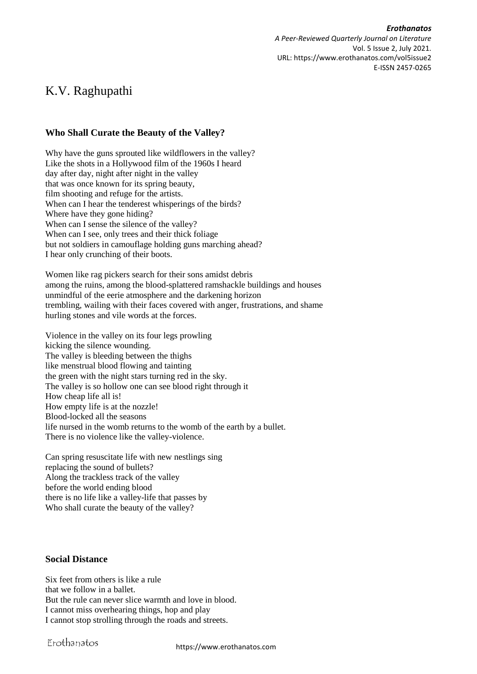*Erothanatos A Peer-Reviewed Quarterly Journal on Literature* Vol. 5 Issue 2, July 2021. URL: https://www.erothanatos.com/vol5issue2 E-ISSN 2457-0265

## K.V. Raghupathi

## **Who Shall Curate the Beauty of the Valley?**

Why have the guns sprouted like wildflowers in the valley? Like the shots in a Hollywood film of the 1960s I heard day after day, night after night in the valley that was once known for its spring beauty, film shooting and refuge for the artists. When can I hear the tenderest whisperings of the birds? Where have they gone hiding? When can I sense the silence of the valley? When can I see, only trees and their thick foliage but not soldiers in camouflage holding guns marching ahead? I hear only crunching of their boots.

Women like rag pickers search for their sons amidst debris among the ruins, among the blood-splattered ramshackle buildings and houses unmindful of the eerie atmosphere and the darkening horizon trembling, wailing with their faces covered with anger, frustrations, and shame hurling stones and vile words at the forces.

Violence in the valley on its four legs prowling kicking the silence wounding. The valley is bleeding between the thighs like menstrual blood flowing and tainting the green with the night stars turning red in the sky. The valley is so hollow one can see blood right through it How cheap life all is! How empty life is at the nozzle! Blood-locked all the seasons life nursed in the womb returns to the womb of the earth by a bullet. There is no violence like the valley-violence.

Can spring resuscitate life with new nestlings sing replacing the sound of bullets? Along the trackless track of the valley before the world ending blood there is no life like a valley-life that passes by Who shall curate the beauty of the valley?

## **Social Distance**

Six feet from others is like a rule that we follow in a ballet. But the rule can never slice warmth and love in blood. I cannot miss overhearing things, hop and play I cannot stop strolling through the roads and streets.

Erothanatos